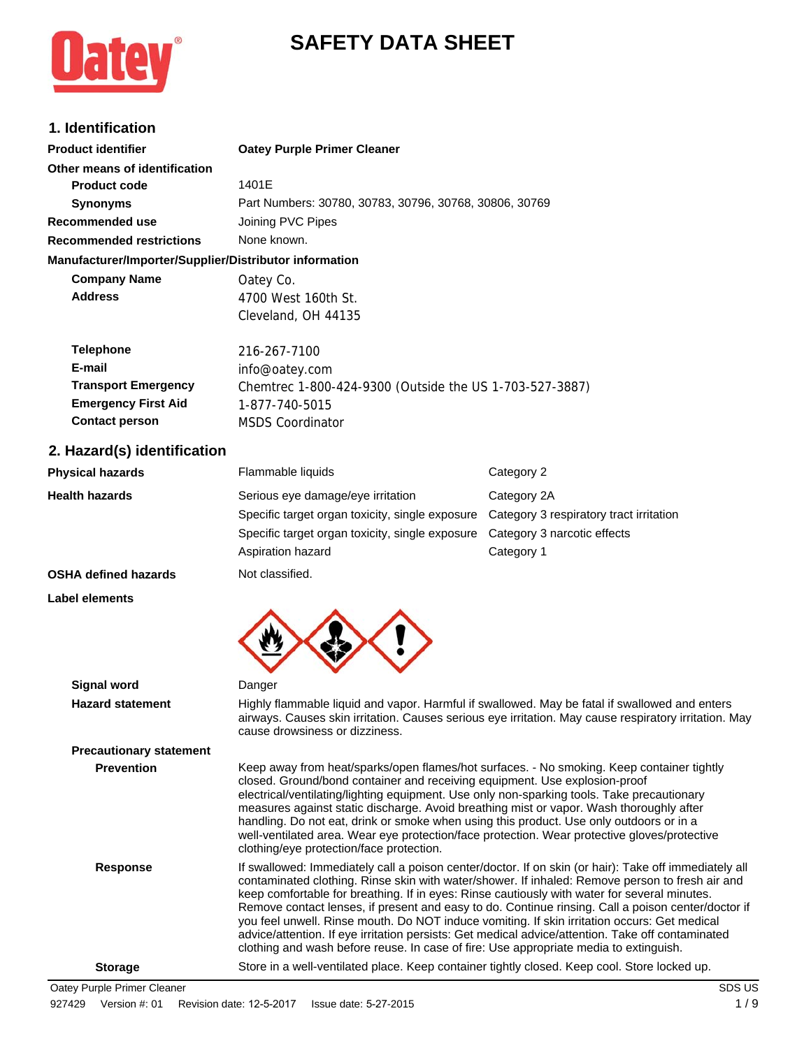# **SAFETY DATA SHEET**



# **1. Identification**

| <b>Product identifier</b>                              | <b>Oatey Purple Primer Cleaner</b>                      |
|--------------------------------------------------------|---------------------------------------------------------|
| Other means of identification                          |                                                         |
| <b>Product code</b>                                    | 1401E                                                   |
| <b>Synonyms</b>                                        | Part Numbers: 30780, 30783, 30796, 30768, 30806, 30769  |
| Recommended use                                        | Joining PVC Pipes                                       |
| <b>Recommended restrictions</b>                        | None known.                                             |
| Manufacturer/Importer/Supplier/Distributor information |                                                         |
| <b>Company Name</b>                                    | Oatey Co.                                               |
| <b>Address</b>                                         | 4700 West 160th St.                                     |
|                                                        | Cleveland, OH 44135                                     |
| <b>Telephone</b>                                       | 216-267-7100                                            |
| E-mail                                                 | info@oatey.com                                          |
| <b>Transport Emergency</b>                             | Chemtrec 1-800-424-9300 (Outside the US 1-703-527-3887) |
| <b>Emergency First Aid</b>                             | 1-877-740-5015                                          |
| <b>Contact person</b>                                  | <b>MSDS Coordinator</b>                                 |
|                                                        |                                                         |

### **2. Hazard(s) identification**

| <b>Physical hazards</b> | Flammable liquids                               | Category 2                              |  |
|-------------------------|-------------------------------------------------|-----------------------------------------|--|
| <b>Health hazards</b>   | Serious eye damage/eye irritation               | Category 2A                             |  |
|                         | Specific target organ toxicity, single exposure | Category 3 respiratory tract irritation |  |
|                         | Specific target organ toxicity, single exposure | Category 3 narcotic effects             |  |
|                         | Aspiration hazard                               | Category 1                              |  |
| -------                 |                                                 |                                         |  |

## **OSHA defined hazards** Not classified.

**Label elements**



| <b>Signal word</b>             | Danger                                                                                                                                                                                                                                                                                                                                                                                                                                                                                                                                                                                                                                                                                                       |
|--------------------------------|--------------------------------------------------------------------------------------------------------------------------------------------------------------------------------------------------------------------------------------------------------------------------------------------------------------------------------------------------------------------------------------------------------------------------------------------------------------------------------------------------------------------------------------------------------------------------------------------------------------------------------------------------------------------------------------------------------------|
| <b>Hazard statement</b>        | Highly flammable liquid and vapor. Harmful if swallowed. May be fatal if swallowed and enters<br>airways. Causes skin irritation. Causes serious eye irritation. May cause respiratory irritation. May<br>cause drowsiness or dizziness.                                                                                                                                                                                                                                                                                                                                                                                                                                                                     |
| <b>Precautionary statement</b> |                                                                                                                                                                                                                                                                                                                                                                                                                                                                                                                                                                                                                                                                                                              |
| <b>Prevention</b>              | Keep away from heat/sparks/open flames/hot surfaces. - No smoking. Keep container tightly<br>closed. Ground/bond container and receiving equipment. Use explosion-proof<br>electrical/ventilating/lighting equipment. Use only non-sparking tools. Take precautionary<br>measures against static discharge. Avoid breathing mist or vapor. Wash thoroughly after<br>handling. Do not eat, drink or smoke when using this product. Use only outdoors or in a<br>well-ventilated area. Wear eye protection/face protection. Wear protective gloves/protective<br>clothing/eye protection/face protection.                                                                                                      |
| Response                       | If swallowed: Immediately call a poison center/doctor. If on skin (or hair): Take off immediately all<br>contaminated clothing. Rinse skin with water/shower. If inhaled: Remove person to fresh air and<br>keep comfortable for breathing. If in eyes: Rinse cautiously with water for several minutes.<br>Remove contact lenses, if present and easy to do. Continue rinsing. Call a poison center/doctor if<br>you feel unwell. Rinse mouth. Do NOT induce vomiting. If skin irritation occurs: Get medical<br>advice/attention. If eye irritation persists: Get medical advice/attention. Take off contaminated<br>clothing and wash before reuse. In case of fire: Use appropriate media to extinguish. |
| <b>Storage</b>                 | Store in a well-ventilated place. Keep container tightly closed. Keep cool. Store locked up.                                                                                                                                                                                                                                                                                                                                                                                                                                                                                                                                                                                                                 |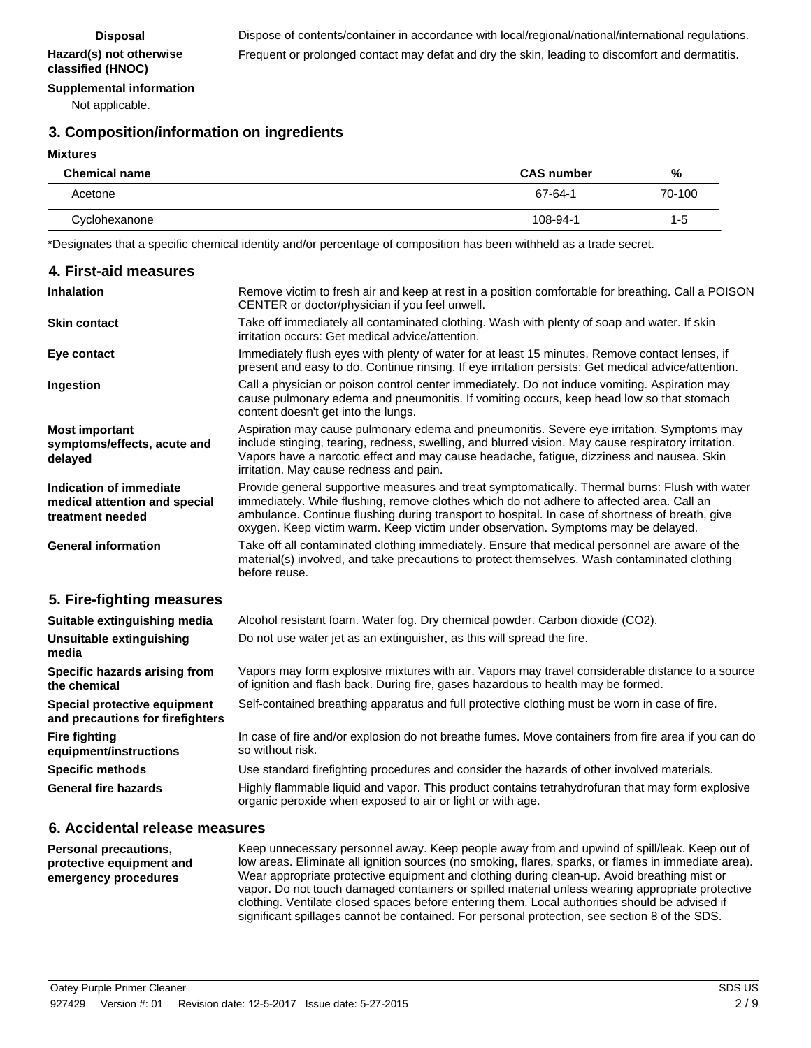#### **Supplemental information**

Not applicable.

### **3. Composition/information on ingredients**

#### **Mixtures**

| <b>Chemical name</b> | <b>CAS number</b> | %       |
|----------------------|-------------------|---------|
| Acetone              | 67-64-1           | 70-100  |
| Cyclohexanone        | 108-94-1          | $1 - 5$ |

\*Designates that a specific chemical identity and/or percentage of composition has been withheld as a trade secret.

| 4. First-aid measures                                                        |                                                                                                                                                                                                                                                                                                                                                                                     |
|------------------------------------------------------------------------------|-------------------------------------------------------------------------------------------------------------------------------------------------------------------------------------------------------------------------------------------------------------------------------------------------------------------------------------------------------------------------------------|
| <b>Inhalation</b>                                                            | Remove victim to fresh air and keep at rest in a position comfortable for breathing. Call a POISON<br>CENTER or doctor/physician if you feel unwell.                                                                                                                                                                                                                                |
| <b>Skin contact</b>                                                          | Take off immediately all contaminated clothing. Wash with plenty of soap and water. If skin<br>irritation occurs: Get medical advice/attention.                                                                                                                                                                                                                                     |
| Eye contact                                                                  | Immediately flush eyes with plenty of water for at least 15 minutes. Remove contact lenses, if<br>present and easy to do. Continue rinsing. If eye irritation persists: Get medical advice/attention.                                                                                                                                                                               |
| Ingestion                                                                    | Call a physician or poison control center immediately. Do not induce vomiting. Aspiration may<br>cause pulmonary edema and pneumonitis. If vomiting occurs, keep head low so that stomach<br>content doesn't get into the lungs.                                                                                                                                                    |
| <b>Most important</b><br>symptoms/effects, acute and<br>delayed              | Aspiration may cause pulmonary edema and pneumonitis. Severe eye irritation. Symptoms may<br>include stinging, tearing, redness, swelling, and blurred vision. May cause respiratory irritation.<br>Vapors have a narcotic effect and may cause headache, fatigue, dizziness and nausea. Skin<br>irritation. May cause redness and pain.                                            |
| Indication of immediate<br>medical attention and special<br>treatment needed | Provide general supportive measures and treat symptomatically. Thermal burns: Flush with water<br>immediately. While flushing, remove clothes which do not adhere to affected area. Call an<br>ambulance. Continue flushing during transport to hospital. In case of shortness of breath, give<br>oxygen. Keep victim warm. Keep victim under observation. Symptoms may be delayed. |
| <b>General information</b>                                                   | Take off all contaminated clothing immediately. Ensure that medical personnel are aware of the<br>material(s) involved, and take precautions to protect themselves. Wash contaminated clothing<br>before reuse.                                                                                                                                                                     |
| 5. Fire-fighting measures                                                    |                                                                                                                                                                                                                                                                                                                                                                                     |
| Suitable extinguishing media                                                 | Alcohol resistant foam. Water fog. Dry chemical powder. Carbon dioxide (CO2).                                                                                                                                                                                                                                                                                                       |
| <b>Unsuitable extinguishing</b><br>media                                     | Do not use water jet as an extinguisher, as this will spread the fire.                                                                                                                                                                                                                                                                                                              |
| Specific hazards arising from<br>the chemical                                | Vapors may form explosive mixtures with air. Vapors may travel considerable distance to a source<br>of ignition and flash back. During fire, gases hazardous to health may be formed.                                                                                                                                                                                               |
| Special protective equipment<br>and precautions for firefighters             | Self-contained breathing apparatus and full protective clothing must be worn in case of fire.                                                                                                                                                                                                                                                                                       |
| <b>Fire fighting</b><br>equipment/instructions                               | In case of fire and/or explosion do not breathe fumes. Move containers from fire area if you can do<br>so without risk.                                                                                                                                                                                                                                                             |
| <b>Specific methods</b>                                                      | Use standard firefighting procedures and consider the hazards of other involved materials.                                                                                                                                                                                                                                                                                          |
| <b>General fire hazards</b>                                                  | Highly flammable liquid and vapor. This product contains tetrahydrofuran that may form explosive<br>organic peroxide when exposed to air or light or with age.                                                                                                                                                                                                                      |

#### **6. Accidental release measures**

Keep unnecessary personnel away. Keep people away from and upwind of spill/leak. Keep out of low areas. Eliminate all ignition sources (no smoking, flares, sparks, or flames in immediate area). Wear appropriate protective equipment and clothing during clean-up. Avoid breathing mist or vapor. Do not touch damaged containers or spilled material unless wearing appropriate protective clothing. Ventilate closed spaces before entering them. Local authorities should be advised if significant spillages cannot be contained. For personal protection, see section 8 of the SDS. **Personal precautions, protective equipment and emergency procedures**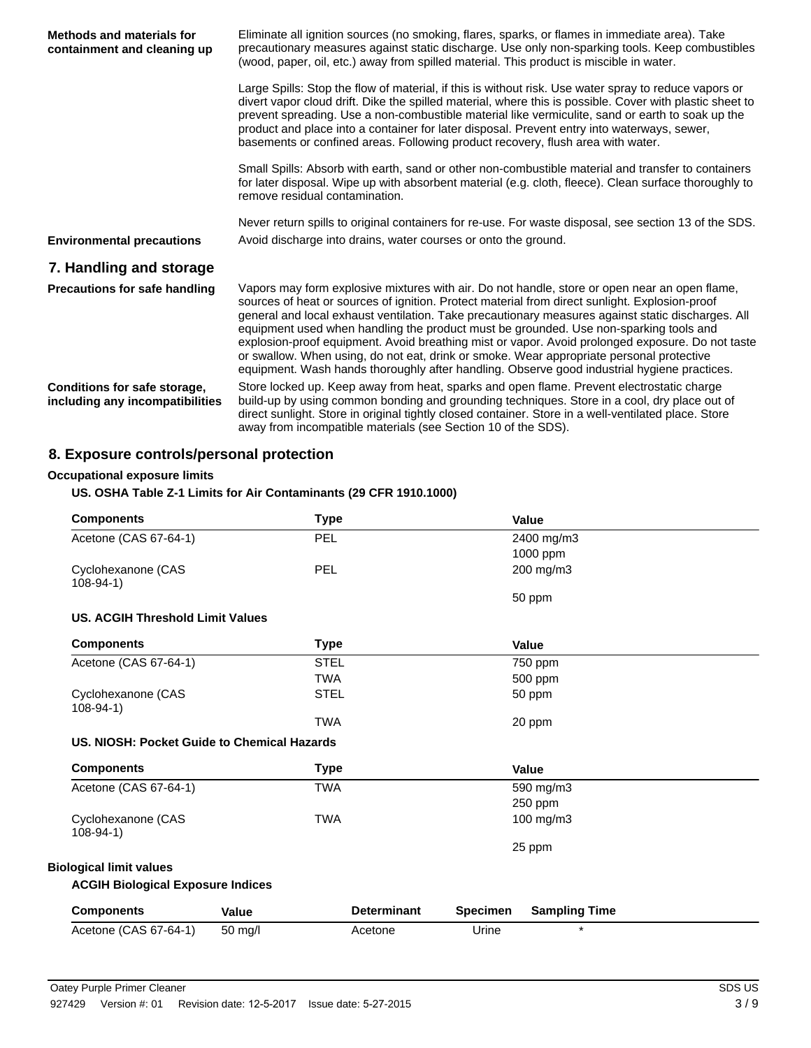| <b>Methods and materials for</b><br>containment and cleaning up | Eliminate all ignition sources (no smoking, flares, sparks, or flames in immediate area). Take<br>precautionary measures against static discharge. Use only non-sparking tools. Keep combustibles<br>(wood, paper, oil, etc.) away from spilled material. This product is miscible in water.                                                                                                                                                                                                                                                                                                                                                                                                 |
|-----------------------------------------------------------------|----------------------------------------------------------------------------------------------------------------------------------------------------------------------------------------------------------------------------------------------------------------------------------------------------------------------------------------------------------------------------------------------------------------------------------------------------------------------------------------------------------------------------------------------------------------------------------------------------------------------------------------------------------------------------------------------|
|                                                                 | Large Spills: Stop the flow of material, if this is without risk. Use water spray to reduce vapors or<br>divert vapor cloud drift. Dike the spilled material, where this is possible. Cover with plastic sheet to<br>prevent spreading. Use a non-combustible material like vermiculite, sand or earth to soak up the<br>product and place into a container for later disposal. Prevent entry into waterways, sewer,<br>basements or confined areas. Following product recovery, flush area with water.                                                                                                                                                                                      |
|                                                                 | Small Spills: Absorb with earth, sand or other non-combustible material and transfer to containers<br>for later disposal. Wipe up with absorbent material (e.g. cloth, fleece). Clean surface thoroughly to<br>remove residual contamination.                                                                                                                                                                                                                                                                                                                                                                                                                                                |
| <b>Environmental precautions</b>                                | Never return spills to original containers for re-use. For waste disposal, see section 13 of the SDS.<br>Avoid discharge into drains, water courses or onto the ground.                                                                                                                                                                                                                                                                                                                                                                                                                                                                                                                      |
| 7. Handling and storage                                         |                                                                                                                                                                                                                                                                                                                                                                                                                                                                                                                                                                                                                                                                                              |
| <b>Precautions for safe handling</b>                            | Vapors may form explosive mixtures with air. Do not handle, store or open near an open flame,<br>sources of heat or sources of ignition. Protect material from direct sunlight. Explosion-proof<br>general and local exhaust ventilation. Take precautionary measures against static discharges. All<br>equipment used when handling the product must be grounded. Use non-sparking tools and<br>explosion-proof equipment. Avoid breathing mist or vapor. Avoid prolonged exposure. Do not taste<br>or swallow. When using, do not eat, drink or smoke. Wear appropriate personal protective<br>equipment. Wash hands thoroughly after handling. Observe good industrial hygiene practices. |
| Conditions for safe storage,<br>including any incompatibilities | Store locked up. Keep away from heat, sparks and open flame. Prevent electrostatic charge<br>build-up by using common bonding and grounding techniques. Store in a cool, dry place out of<br>direct sunlight. Store in original tightly closed container. Store in a well-ventilated place. Store<br>away from incompatible materials (see Section 10 of the SDS).                                                                                                                                                                                                                                                                                                                           |

# **8. Exposure controls/personal protection**

## **Occupational exposure limits**

## **US. OSHA Table Z-1 Limits for Air Contaminants (29 CFR 1910.1000)**

| <b>Components</b>                            |                   | <b>Type</b> |                    |                 | Value                |
|----------------------------------------------|-------------------|-------------|--------------------|-----------------|----------------------|
| Acetone (CAS 67-64-1)                        |                   | <b>PEL</b>  |                    |                 | 2400 mg/m3           |
|                                              |                   |             |                    |                 | 1000 ppm             |
| Cyclohexanone (CAS                           |                   | PEL         |                    |                 | 200 mg/m3            |
| $108-94-1)$                                  |                   |             |                    |                 |                      |
|                                              |                   |             |                    |                 | 50 ppm               |
| <b>US. ACGIH Threshold Limit Values</b>      |                   |             |                    |                 |                      |
| <b>Components</b>                            |                   | <b>Type</b> |                    |                 | Value                |
| Acetone (CAS 67-64-1)                        |                   | <b>STEL</b> |                    |                 | 750 ppm              |
|                                              |                   | <b>TWA</b>  |                    |                 | 500 ppm              |
| Cyclohexanone (CAS<br>$108 - 94 - 1$         |                   | <b>STEL</b> |                    |                 | 50 ppm               |
|                                              |                   | <b>TWA</b>  |                    |                 | 20 ppm               |
| U.S. NIOSH: Pocket Guide to Chemical Hazards |                   |             |                    |                 |                      |
| <b>Components</b>                            |                   | <b>Type</b> |                    |                 | Value                |
| Acetone (CAS 67-64-1)                        |                   | <b>TWA</b>  |                    |                 | 590 mg/m3            |
|                                              |                   |             |                    |                 | 250 ppm              |
| Cyclohexanone (CAS<br>$108-94-1)$            |                   | <b>TWA</b>  |                    |                 | $100 \text{ mg/m}$ 3 |
|                                              |                   |             |                    |                 | 25 ppm               |
| <b>Biological limit values</b>               |                   |             |                    |                 |                      |
| <b>ACGIH Biological Exposure Indices</b>     |                   |             |                    |                 |                      |
| <b>Components</b>                            | <b>Value</b>      |             | <b>Determinant</b> | <b>Specimen</b> | <b>Sampling Time</b> |
| Acetone (CAS 67-64-1)                        | $50 \text{ mq/l}$ |             | Acetone            | Urine           | $\star$              |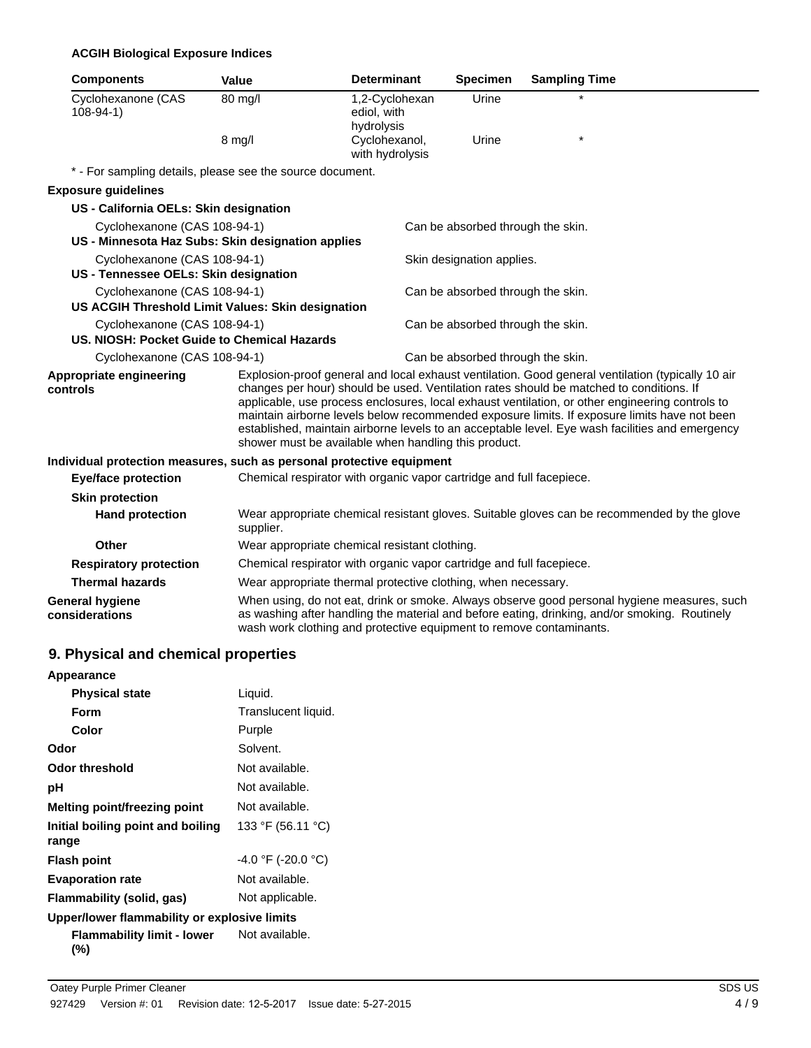#### **ACGIH Biological Exposure Indices**

| <b>Components</b>                        |                              | Value                                                                 | <b>Determinant</b>                          | <b>Specimen</b>                   | <b>Sampling Time</b>                                                                                                                                                                                                                                                                                                                                                                                                                                                                               |
|------------------------------------------|------------------------------|-----------------------------------------------------------------------|---------------------------------------------|-----------------------------------|----------------------------------------------------------------------------------------------------------------------------------------------------------------------------------------------------------------------------------------------------------------------------------------------------------------------------------------------------------------------------------------------------------------------------------------------------------------------------------------------------|
| Cyclohexanone (CAS<br>$108-94-1)$        |                              | 80 mg/l                                                               | 1,2-Cyclohexan<br>ediol, with<br>hydrolysis | Urine                             |                                                                                                                                                                                                                                                                                                                                                                                                                                                                                                    |
|                                          |                              | 8 mg/l                                                                | Cyclohexanol,<br>with hydrolysis            | Urine                             |                                                                                                                                                                                                                                                                                                                                                                                                                                                                                                    |
|                                          |                              | * - For sampling details, please see the source document.             |                                             |                                   |                                                                                                                                                                                                                                                                                                                                                                                                                                                                                                    |
| <b>Exposure guidelines</b>               |                              |                                                                       |                                             |                                   |                                                                                                                                                                                                                                                                                                                                                                                                                                                                                                    |
| US - California OELs: Skin designation   |                              |                                                                       |                                             |                                   |                                                                                                                                                                                                                                                                                                                                                                                                                                                                                                    |
|                                          | Cyclohexanone (CAS 108-94-1) | US - Minnesota Haz Subs: Skin designation applies                     |                                             | Can be absorbed through the skin. |                                                                                                                                                                                                                                                                                                                                                                                                                                                                                                    |
| US - Tennessee OELs: Skin designation    | Cyclohexanone (CAS 108-94-1) |                                                                       |                                             | Skin designation applies.         |                                                                                                                                                                                                                                                                                                                                                                                                                                                                                                    |
|                                          | Cyclohexanone (CAS 108-94-1) | US ACGIH Threshold Limit Values: Skin designation                     |                                             | Can be absorbed through the skin. |                                                                                                                                                                                                                                                                                                                                                                                                                                                                                                    |
|                                          | Cyclohexanone (CAS 108-94-1) | US. NIOSH: Pocket Guide to Chemical Hazards                           |                                             | Can be absorbed through the skin. |                                                                                                                                                                                                                                                                                                                                                                                                                                                                                                    |
|                                          | Cyclohexanone (CAS 108-94-1) |                                                                       |                                             | Can be absorbed through the skin. |                                                                                                                                                                                                                                                                                                                                                                                                                                                                                                    |
| Appropriate engineering<br>controls      |                              | shower must be available when handling this product.                  |                                             |                                   | Explosion-proof general and local exhaust ventilation. Good general ventilation (typically 10 air<br>changes per hour) should be used. Ventilation rates should be matched to conditions. If<br>applicable, use process enclosures, local exhaust ventilation, or other engineering controls to<br>maintain airborne levels below recommended exposure limits. If exposure limits have not been<br>established, maintain airborne levels to an acceptable level. Eye wash facilities and emergency |
|                                          |                              | Individual protection measures, such as personal protective equipment |                                             |                                   |                                                                                                                                                                                                                                                                                                                                                                                                                                                                                                    |
| <b>Eye/face protection</b>               |                              | Chemical respirator with organic vapor cartridge and full facepiece.  |                                             |                                   |                                                                                                                                                                                                                                                                                                                                                                                                                                                                                                    |
| <b>Skin protection</b>                   |                              |                                                                       |                                             |                                   |                                                                                                                                                                                                                                                                                                                                                                                                                                                                                                    |
| <b>Hand protection</b>                   |                              | supplier.                                                             |                                             |                                   | Wear appropriate chemical resistant gloves. Suitable gloves can be recommended by the glove                                                                                                                                                                                                                                                                                                                                                                                                        |
| <b>Other</b>                             |                              | Wear appropriate chemical resistant clothing.                         |                                             |                                   |                                                                                                                                                                                                                                                                                                                                                                                                                                                                                                    |
| <b>Respiratory protection</b>            |                              | Chemical respirator with organic vapor cartridge and full facepiece.  |                                             |                                   |                                                                                                                                                                                                                                                                                                                                                                                                                                                                                                    |
| <b>Thermal hazards</b>                   |                              | Wear appropriate thermal protective clothing, when necessary.         |                                             |                                   |                                                                                                                                                                                                                                                                                                                                                                                                                                                                                                    |
| <b>General hygiene</b><br>considerations |                              |                                                                       |                                             |                                   | When using, do not eat, drink or smoke. Always observe good personal hygiene measures, such<br>as washing after handling the material and before eating, drinking, and/or smoking. Routinely                                                                                                                                                                                                                                                                                                       |

wash work clothing and protective equipment to remove contaminants.

## **9. Physical and chemical properties**

| Appearance                                   |                      |
|----------------------------------------------|----------------------|
| <b>Physical state</b>                        | Liquid.              |
| Form                                         | Translucent liquid.  |
| Color                                        | Purple               |
| Odor                                         | Solvent.             |
| Odor threshold                               | Not available.       |
| рH                                           | Not available.       |
| Melting point/freezing point                 | Not available.       |
| Initial boiling point and boiling<br>range   | 133 °F (56.11 °C)    |
| <b>Flash point</b>                           | $-4.0$ °F (-20.0 °C) |
| <b>Evaporation rate</b>                      | Not available.       |
| Flammability (solid, gas)                    | Not applicable.      |
| Upper/lower flammability or explosive limits |                      |
| <b>Flammability limit - lower</b><br>(%)     | Not available.       |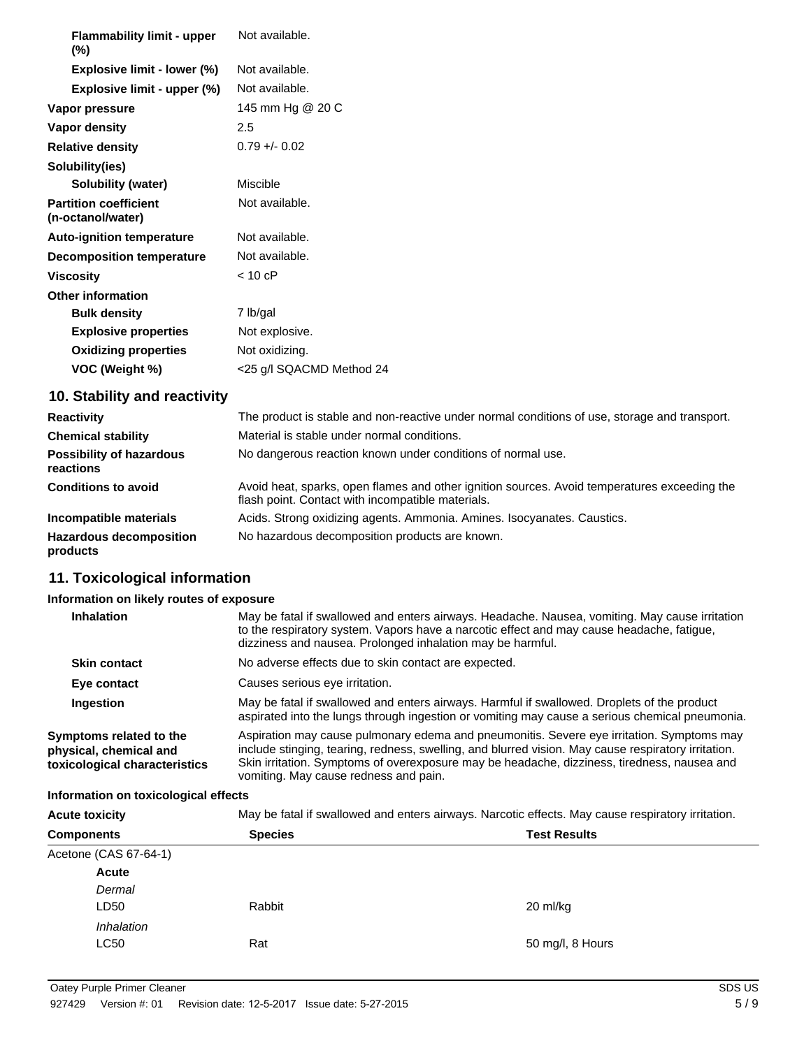| <b>Flammability limit - upper</b><br>$(\%)$       | Not available.           |
|---------------------------------------------------|--------------------------|
| Explosive limit - lower (%)                       | Not available.           |
| Explosive limit - upper (%)                       | Not available.           |
| Vapor pressure                                    | 145 mm Hg @ 20 C         |
| Vapor density                                     | 2.5                      |
| <b>Relative density</b>                           | $0.79 + - 0.02$          |
| Solubility(ies)                                   |                          |
| Solubility (water)                                | Miscible                 |
| <b>Partition coefficient</b><br>(n-octanol/water) | Not available.           |
| <b>Auto-ignition temperature</b>                  | Not available.           |
| <b>Decomposition temperature</b>                  | Not available.           |
| <b>Viscosity</b>                                  | $< 10$ cP                |
| <b>Other information</b>                          |                          |
| <b>Bulk density</b>                               | 7 lb/gal                 |
| <b>Explosive properties</b>                       | Not explosive.           |
| <b>Oxidizing properties</b>                       | Not oxidizing.           |
| VOC (Weight %)                                    | <25 g/l SQACMD Method 24 |
| 10. Stability and reactivity                      |                          |

| <b>Reactivity</b>                            | The product is stable and non-reactive under normal conditions of use, storage and transport.                                                     |
|----------------------------------------------|---------------------------------------------------------------------------------------------------------------------------------------------------|
| <b>Chemical stability</b>                    | Material is stable under normal conditions.                                                                                                       |
| <b>Possibility of hazardous</b><br>reactions | No dangerous reaction known under conditions of normal use.                                                                                       |
| <b>Conditions to avoid</b>                   | Avoid heat, sparks, open flames and other ignition sources. Avoid temperatures exceeding the<br>flash point. Contact with incompatible materials. |
| Incompatible materials                       | Acids. Strong oxidizing agents. Ammonia. Amines. Isocyanates. Caustics.                                                                           |
| <b>Hazardous decomposition</b><br>products   | No hazardous decomposition products are known.                                                                                                    |

# **11. Toxicological information**

# **Information on likely routes of exposure**

| <b>Inhalation</b>                                                                  | May be fatal if swallowed and enters airways. Headache. Nausea, vomiting. May cause irritation<br>to the respiratory system. Vapors have a narcotic effect and may cause headache, fatigue,<br>dizziness and nausea. Prolonged inhalation may be harmful.                                                                                |
|------------------------------------------------------------------------------------|------------------------------------------------------------------------------------------------------------------------------------------------------------------------------------------------------------------------------------------------------------------------------------------------------------------------------------------|
| <b>Skin contact</b>                                                                | No adverse effects due to skin contact are expected.                                                                                                                                                                                                                                                                                     |
| Eye contact                                                                        | Causes serious eye irritation.                                                                                                                                                                                                                                                                                                           |
| Ingestion                                                                          | May be fatal if swallowed and enters airways. Harmful if swallowed. Droplets of the product<br>aspirated into the lungs through ingestion or vomiting may cause a serious chemical pneumonia.                                                                                                                                            |
| Symptoms related to the<br>physical, chemical and<br>toxicological characteristics | Aspiration may cause pulmonary edema and pneumonitis. Severe eye irritation. Symptoms may<br>include stinging, tearing, redness, swelling, and blurred vision. May cause respiratory irritation.<br>Skin irritation. Symptoms of overexposure may be headache, dizziness, tiredness, nausea and<br>vomiting. May cause redness and pain. |

# **Information on toxicological effects**

| <b>Acute toxicity</b> | May be fatal if swallowed and enters airways. Narcotic effects. May cause respiratory irritation. |                     |  |
|-----------------------|---------------------------------------------------------------------------------------------------|---------------------|--|
| <b>Components</b>     | <b>Species</b>                                                                                    | <b>Test Results</b> |  |
| Acetone (CAS 67-64-1) |                                                                                                   |                     |  |
| Acute                 |                                                                                                   |                     |  |
| Dermal                |                                                                                                   |                     |  |
| LD50                  | Rabbit                                                                                            | 20 ml/kg            |  |
| <i>Inhalation</i>     |                                                                                                   |                     |  |
| LC50                  | Rat                                                                                               | 50 mg/l, 8 Hours    |  |
|                       |                                                                                                   |                     |  |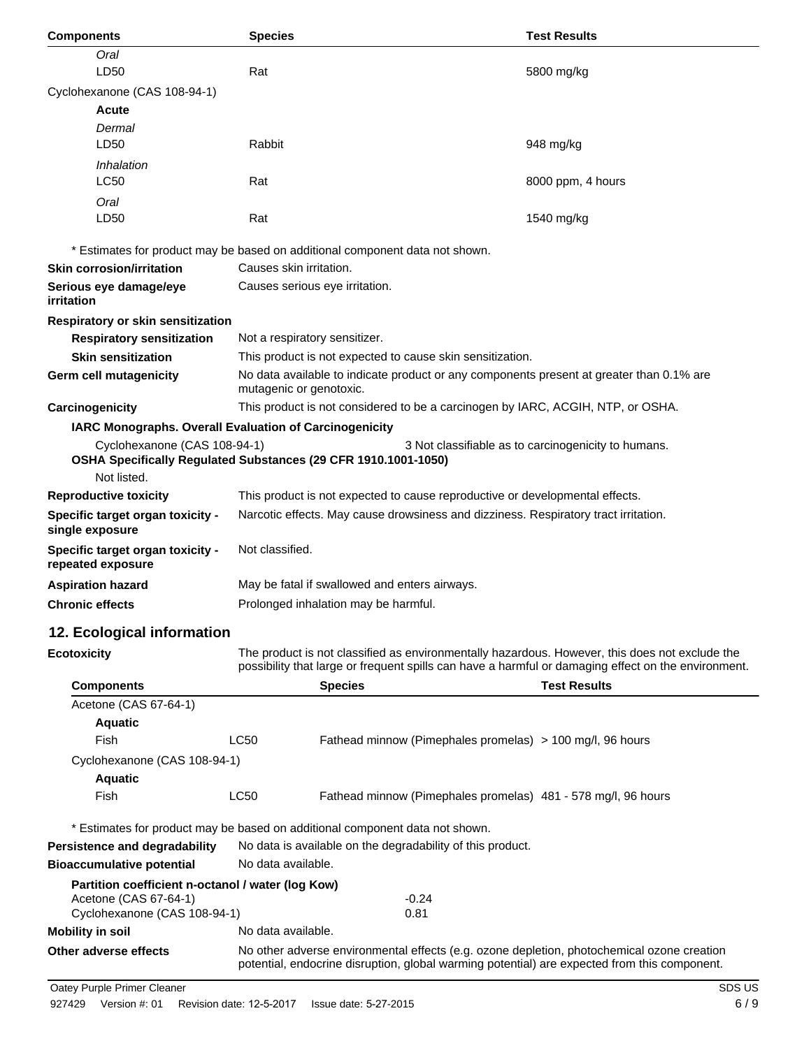| <b>Components</b>                                                                           | <b>Species</b>                                                                                                                                                                             | <b>Test Results</b>                                 |
|---------------------------------------------------------------------------------------------|--------------------------------------------------------------------------------------------------------------------------------------------------------------------------------------------|-----------------------------------------------------|
| Oral                                                                                        |                                                                                                                                                                                            |                                                     |
| LD50                                                                                        | Rat                                                                                                                                                                                        | 5800 mg/kg                                          |
| Cyclohexanone (CAS 108-94-1)                                                                |                                                                                                                                                                                            |                                                     |
| Acute                                                                                       |                                                                                                                                                                                            |                                                     |
| Dermal<br>LD50                                                                              | Rabbit                                                                                                                                                                                     | 948 mg/kg                                           |
| Inhalation                                                                                  |                                                                                                                                                                                            |                                                     |
| <b>LC50</b>                                                                                 | Rat                                                                                                                                                                                        | 8000 ppm, 4 hours                                   |
| Oral                                                                                        |                                                                                                                                                                                            |                                                     |
| LD50                                                                                        | Rat                                                                                                                                                                                        | 1540 mg/kg                                          |
|                                                                                             | * Estimates for product may be based on additional component data not shown.                                                                                                               |                                                     |
| <b>Skin corrosion/irritation</b>                                                            | Causes skin irritation.                                                                                                                                                                    |                                                     |
| Serious eye damage/eye<br>irritation                                                        | Causes serious eye irritation.                                                                                                                                                             |                                                     |
| Respiratory or skin sensitization                                                           |                                                                                                                                                                                            |                                                     |
| <b>Respiratory sensitization</b>                                                            | Not a respiratory sensitizer.                                                                                                                                                              |                                                     |
| <b>Skin sensitization</b>                                                                   | This product is not expected to cause skin sensitization.                                                                                                                                  |                                                     |
| Germ cell mutagenicity                                                                      | No data available to indicate product or any components present at greater than 0.1% are<br>mutagenic or genotoxic.                                                                        |                                                     |
| Carcinogenicity                                                                             | This product is not considered to be a carcinogen by IARC, ACGIH, NTP, or OSHA.                                                                                                            |                                                     |
| IARC Monographs. Overall Evaluation of Carcinogenicity                                      |                                                                                                                                                                                            |                                                     |
| Cyclohexanone (CAS 108-94-1)<br>Not listed.                                                 | OSHA Specifically Regulated Substances (29 CFR 1910.1001-1050)                                                                                                                             | 3 Not classifiable as to carcinogenicity to humans. |
| <b>Reproductive toxicity</b>                                                                | This product is not expected to cause reproductive or developmental effects.                                                                                                               |                                                     |
| Specific target organ toxicity -<br>single exposure                                         | Narcotic effects. May cause drowsiness and dizziness. Respiratory tract irritation.                                                                                                        |                                                     |
| Specific target organ toxicity -<br>repeated exposure                                       | Not classified.                                                                                                                                                                            |                                                     |
| <b>Aspiration hazard</b>                                                                    | May be fatal if swallowed and enters airways.                                                                                                                                              |                                                     |
| <b>Chronic effects</b>                                                                      | Prolonged inhalation may be harmful.                                                                                                                                                       |                                                     |
| 12. Ecological information                                                                  |                                                                                                                                                                                            |                                                     |
| <b>Ecotoxicity</b>                                                                          | The product is not classified as environmentally hazardous. However, this does not exclude the                                                                                             |                                                     |
|                                                                                             | possibility that large or frequent spills can have a harmful or damaging effect on the environment.                                                                                        |                                                     |
| <b>Components</b>                                                                           | <b>Species</b>                                                                                                                                                                             | <b>Test Results</b>                                 |
| Acetone (CAS 67-64-1)                                                                       |                                                                                                                                                                                            |                                                     |
| <b>Aquatic</b>                                                                              |                                                                                                                                                                                            |                                                     |
| Fish                                                                                        | <b>LC50</b><br>Fathead minnow (Pimephales promelas) > 100 mg/l, 96 hours                                                                                                                   |                                                     |
| Cyclohexanone (CAS 108-94-1)                                                                |                                                                                                                                                                                            |                                                     |
| <b>Aquatic</b><br>Fish                                                                      | <b>LC50</b><br>Fathead minnow (Pimephales promelas) 481 - 578 mg/l, 96 hours                                                                                                               |                                                     |
|                                                                                             | * Estimates for product may be based on additional component data not shown.                                                                                                               |                                                     |
| No data is available on the degradability of this product.<br>Persistence and degradability |                                                                                                                                                                                            |                                                     |
| <b>Bioaccumulative potential</b>                                                            | No data available.                                                                                                                                                                         |                                                     |
| Partition coefficient n-octanol / water (log Kow)                                           |                                                                                                                                                                                            |                                                     |
| Acetone (CAS 67-64-1)                                                                       | $-0.24$                                                                                                                                                                                    |                                                     |
| Cyclohexanone (CAS 108-94-1)<br><b>Mobility in soil</b>                                     | 0.81<br>No data available.                                                                                                                                                                 |                                                     |
| Other adverse effects                                                                       |                                                                                                                                                                                            |                                                     |
|                                                                                             | No other adverse environmental effects (e.g. ozone depletion, photochemical ozone creation<br>potential, endocrine disruption, global warming potential) are expected from this component. |                                                     |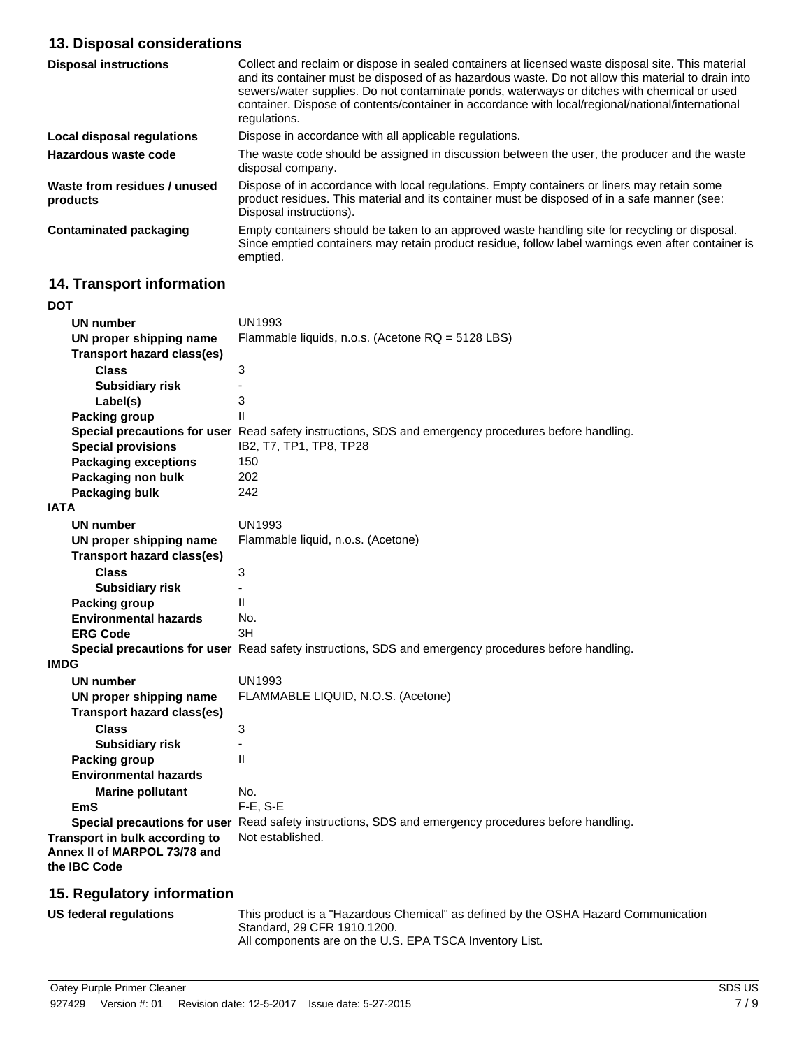## **13. Disposal considerations**

| <b>Disposal instructions</b>             | Collect and reclaim or dispose in sealed containers at licensed waste disposal site. This material<br>and its container must be disposed of as hazardous waste. Do not allow this material to drain into<br>sewers/water supplies. Do not contaminate ponds, waterways or ditches with chemical or used<br>container. Dispose of contents/container in accordance with local/regional/national/international<br>regulations. |
|------------------------------------------|------------------------------------------------------------------------------------------------------------------------------------------------------------------------------------------------------------------------------------------------------------------------------------------------------------------------------------------------------------------------------------------------------------------------------|
| Local disposal regulations               | Dispose in accordance with all applicable regulations.                                                                                                                                                                                                                                                                                                                                                                       |
| Hazardous waste code                     | The waste code should be assigned in discussion between the user, the producer and the waste<br>disposal company.                                                                                                                                                                                                                                                                                                            |
| Waste from residues / unused<br>products | Dispose of in accordance with local regulations. Empty containers or liners may retain some<br>product residues. This material and its container must be disposed of in a safe manner (see:<br>Disposal instructions).                                                                                                                                                                                                       |
| <b>Contaminated packaging</b>            | Empty containers should be taken to an approved waste handling site for recycling or disposal.<br>Since emptied containers may retain product residue, follow label warnings even after container is<br>emptied.                                                                                                                                                                                                             |

# **14. Transport information**

| DOT                               |                                                                                                      |
|-----------------------------------|------------------------------------------------------------------------------------------------------|
| <b>UN number</b>                  | <b>UN1993</b>                                                                                        |
| UN proper shipping name           | Flammable liquids, n.o.s. (Acetone RQ = 5128 LBS)                                                    |
| <b>Transport hazard class(es)</b> |                                                                                                      |
| <b>Class</b>                      | 3                                                                                                    |
| <b>Subsidiary risk</b>            | ÷,                                                                                                   |
| Label(s)                          | 3                                                                                                    |
| <b>Packing group</b>              | $\mathbf{I}$                                                                                         |
|                                   | Special precautions for user Read safety instructions, SDS and emergency procedures before handling. |
| <b>Special provisions</b>         | IB2, T7, TP1, TP8, TP28                                                                              |
| <b>Packaging exceptions</b>       | 150                                                                                                  |
| Packaging non bulk                | 202                                                                                                  |
| Packaging bulk                    | 242                                                                                                  |
| <b>IATA</b>                       |                                                                                                      |
| UN number                         | <b>UN1993</b>                                                                                        |
| UN proper shipping name           | Flammable liquid, n.o.s. (Acetone)                                                                   |
| <b>Transport hazard class(es)</b> |                                                                                                      |
| <b>Class</b>                      | 3                                                                                                    |
| <b>Subsidiary risk</b>            |                                                                                                      |
| <b>Packing group</b>              | $\mathbf{H}$                                                                                         |
| <b>Environmental hazards</b>      | No.                                                                                                  |
| <b>ERG Code</b>                   | 3H                                                                                                   |
|                                   | Special precautions for user Read safety instructions, SDS and emergency procedures before handling. |
| <b>IMDG</b>                       |                                                                                                      |
| <b>UN number</b>                  | <b>UN1993</b>                                                                                        |
| UN proper shipping name           | FLAMMABLE LIQUID, N.O.S. (Acetone)                                                                   |
| <b>Transport hazard class(es)</b> |                                                                                                      |
| <b>Class</b>                      | 3                                                                                                    |
| <b>Subsidiary risk</b>            |                                                                                                      |
| <b>Packing group</b>              | $\mathsf{II}$                                                                                        |
| <b>Environmental hazards</b>      |                                                                                                      |
| <b>Marine pollutant</b>           | No.                                                                                                  |
| EmS                               | F-E, S-E                                                                                             |
|                                   | Special precautions for user Read safety instructions, SDS and emergency procedures before handling. |
| Transport in bulk according to    | Not established.                                                                                     |
| Annex II of MARPOL 73/78 and      |                                                                                                      |
| the IBC Code                      |                                                                                                      |

# **15. Regulatory information**

| US federal regulations | This product is a "Hazardous Chemical" as defined by the OSHA Hazard Communication |
|------------------------|------------------------------------------------------------------------------------|
|                        | Standard, 29 CFR 1910.1200.                                                        |
|                        | All components are on the U.S. EPA TSCA Inventory List.                            |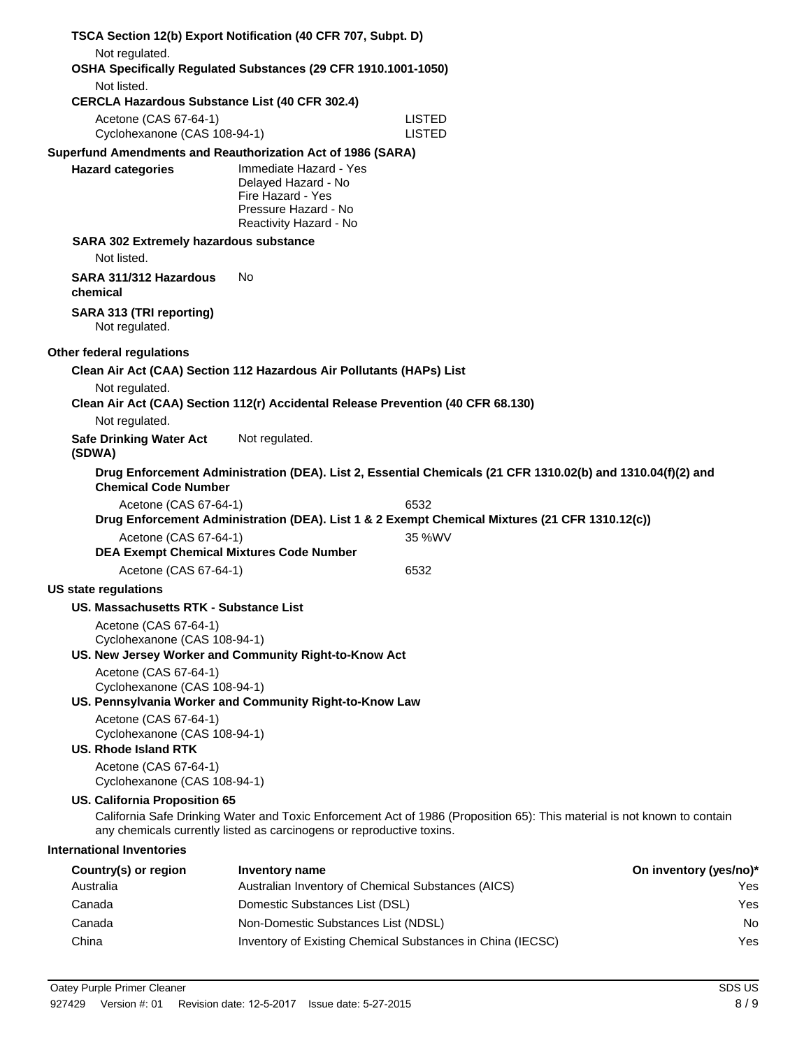| TSCA Section 12(b) Export Notification (40 CFR 707, Subpt. D)                                                  |                                                                                                                      |                                                                                                                          |                        |
|----------------------------------------------------------------------------------------------------------------|----------------------------------------------------------------------------------------------------------------------|--------------------------------------------------------------------------------------------------------------------------|------------------------|
| Not regulated.<br>OSHA Specifically Regulated Substances (29 CFR 1910.1001-1050)                               |                                                                                                                      |                                                                                                                          |                        |
| Not listed.                                                                                                    |                                                                                                                      |                                                                                                                          |                        |
| <b>CERCLA Hazardous Substance List (40 CFR 302.4)</b>                                                          |                                                                                                                      |                                                                                                                          |                        |
| Acetone (CAS 67-64-1)<br>Cyclohexanone (CAS 108-94-1)                                                          |                                                                                                                      | LISTED<br><b>LISTED</b>                                                                                                  |                        |
| Superfund Amendments and Reauthorization Act of 1986 (SARA)                                                    |                                                                                                                      |                                                                                                                          |                        |
| <b>Hazard categories</b>                                                                                       | Immediate Hazard - Yes<br>Delayed Hazard - No<br>Fire Hazard - Yes<br>Pressure Hazard - No<br>Reactivity Hazard - No |                                                                                                                          |                        |
| SARA 302 Extremely hazardous substance<br>Not listed.                                                          |                                                                                                                      |                                                                                                                          |                        |
| SARA 311/312 Hazardous<br>chemical                                                                             | No.                                                                                                                  |                                                                                                                          |                        |
| SARA 313 (TRI reporting)<br>Not regulated.                                                                     |                                                                                                                      |                                                                                                                          |                        |
| Other federal regulations                                                                                      |                                                                                                                      |                                                                                                                          |                        |
| Clean Air Act (CAA) Section 112 Hazardous Air Pollutants (HAPs) List                                           |                                                                                                                      |                                                                                                                          |                        |
| Not regulated.<br>Clean Air Act (CAA) Section 112(r) Accidental Release Prevention (40 CFR 68.130)             |                                                                                                                      |                                                                                                                          |                        |
| Not regulated.                                                                                                 |                                                                                                                      |                                                                                                                          |                        |
| <b>Safe Drinking Water Act</b><br>(SDWA)                                                                       | Not regulated.                                                                                                       |                                                                                                                          |                        |
| <b>Chemical Code Number</b>                                                                                    |                                                                                                                      | Drug Enforcement Administration (DEA). List 2, Essential Chemicals (21 CFR 1310.02(b) and 1310.04(f)(2) and              |                        |
| Acetone (CAS 67-64-1)                                                                                          |                                                                                                                      | 6532<br>Drug Enforcement Administration (DEA). List 1 & 2 Exempt Chemical Mixtures (21 CFR 1310.12(c))                   |                        |
| Acetone (CAS 67-64-1)                                                                                          |                                                                                                                      | 35 %WV                                                                                                                   |                        |
| <b>DEA Exempt Chemical Mixtures Code Number</b>                                                                |                                                                                                                      |                                                                                                                          |                        |
| Acetone (CAS 67-64-1)                                                                                          |                                                                                                                      | 6532                                                                                                                     |                        |
| <b>US state regulations</b>                                                                                    |                                                                                                                      |                                                                                                                          |                        |
| US. Massachusetts RTK - Substance List                                                                         |                                                                                                                      |                                                                                                                          |                        |
| Acetone (CAS 67-64-1)<br>Cyclohexanone (CAS 108-94-1)<br>US. New Jersey Worker and Community Right-to-Know Act |                                                                                                                      |                                                                                                                          |                        |
| Acetone (CAS 67-64-1)                                                                                          |                                                                                                                      |                                                                                                                          |                        |
| Cyclohexanone (CAS 108-94-1)<br>US. Pennsylvania Worker and Community Right-to-Know Law                        |                                                                                                                      |                                                                                                                          |                        |
| Acetone (CAS 67-64-1)<br>Cyclohexanone (CAS 108-94-1)<br><b>US. Rhode Island RTK</b>                           |                                                                                                                      |                                                                                                                          |                        |
| Acetone (CAS 67-64-1)<br>Cyclohexanone (CAS 108-94-1)                                                          |                                                                                                                      |                                                                                                                          |                        |
| <b>US. California Proposition 65</b>                                                                           |                                                                                                                      | California Safe Drinking Water and Toxic Enforcement Act of 1986 (Proposition 65): This material is not known to contain |                        |
|                                                                                                                | any chemicals currently listed as carcinogens or reproductive toxins.                                                |                                                                                                                          |                        |
| <b>International Inventories</b>                                                                               |                                                                                                                      |                                                                                                                          |                        |
| Country(s) or region                                                                                           | <b>Inventory name</b>                                                                                                |                                                                                                                          | On inventory (yes/no)* |
| Australia                                                                                                      | Australian Inventory of Chemical Substances (AICS)                                                                   |                                                                                                                          | Yes                    |
| Canada                                                                                                         | Domestic Substances List (DSL)                                                                                       |                                                                                                                          | Yes                    |
| Canada                                                                                                         | Non-Domestic Substances List (NDSL)                                                                                  |                                                                                                                          | No                     |
| China                                                                                                          |                                                                                                                      | Inventory of Existing Chemical Substances in China (IECSC)                                                               | Yes                    |